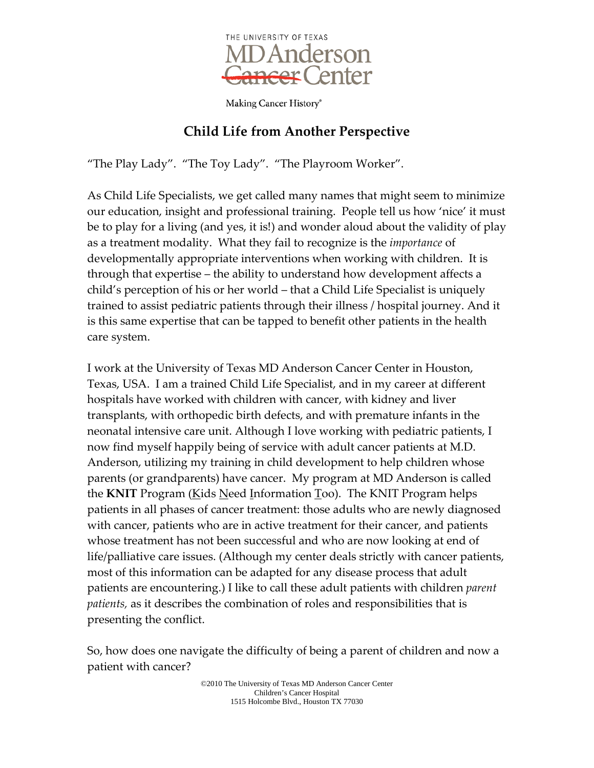

## **Child Life from Another Perspective**

"The Play Lady". "The Toy Lady". "The Playroom Worker".

As Child Life Specialists, we get called many names that might seem to minimize our education, insight and professional training. People tell us how 'nice' it must be to play for a living (and yes, it is!) and wonder aloud about the validity of play as a treatment modality. What they fail to recognize is the *importance* of developmentally appropriate interventions when working with children. It is through that expertise – the ability to understand how development affects a child's perception of his or her world – that a Child Life Specialist is uniquely trained to assist pediatric patients through their illness / hospital journey. And it is this same expertise that can be tapped to benefit other patients in the health care system.

I work at the University of Texas MD Anderson Cancer Center in Houston, Texas, USA. I am a trained Child Life Specialist, and in my career at different hospitals have worked with children with cancer, with kidney and liver transplants, with orthopedic birth defects, and with premature infants in the neonatal intensive care unit. Although I love working with pediatric patients, I now find myself happily being of service with adult cancer patients at M.D. Anderson, utilizing my training in child development to help children whose parents (or grandparents) have cancer. My program at MD Anderson is called the **KNIT** Program (Kids Need Information Too). The KNIT Program helps patients in all phases of cancer treatment: those adults who are newly diagnosed with cancer, patients who are in active treatment for their cancer, and patients whose treatment has not been successful and who are now looking at end of life/palliative care issues. (Although my center deals strictly with cancer patients, most of this information can be adapted for any disease process that adult patients are encountering.) I like to call these adult patients with children *parent patients,* as it describes the combination of roles and responsibilities that is presenting the conflict.

So, how does one navigate the difficulty of being a parent of children and now a patient with cancer?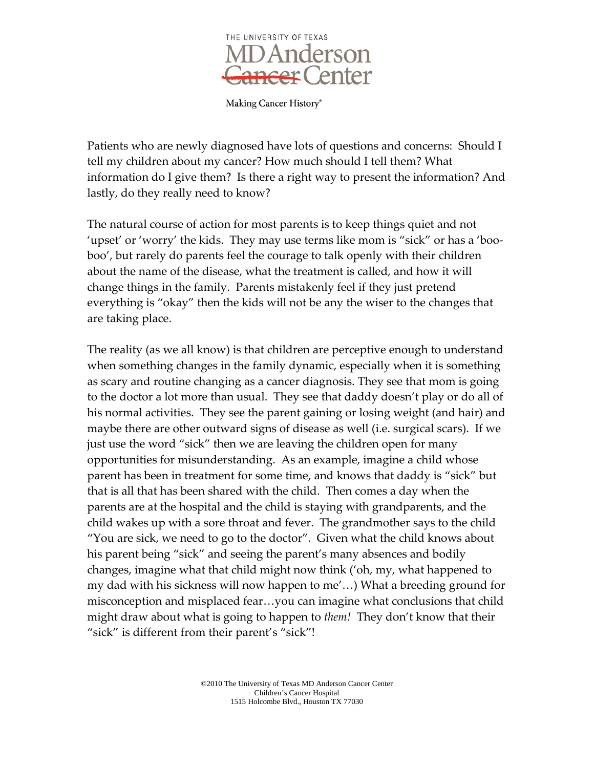

Patients who are newly diagnosed have lots of questions and concerns: Should I tell my children about my cancer? How much should I tell them? What information do I give them? Is there a right way to present the information? And lastly, do they really need to know?

The natural course of action for most parents is to keep things quiet and not 'upset' or 'worry' the kids. They may use terms like mom is "sick" or has a 'booboo', but rarely do parents feel the courage to talk openly with their children about the name of the disease, what the treatment is called, and how it will change things in the family. Parents mistakenly feel if they just pretend everything is "okay" then the kids will not be any the wiser to the changes that are taking place.

The reality (as we all know) is that children are perceptive enough to understand when something changes in the family dynamic, especially when it is something as scary and routine changing as a cancer diagnosis. They see that mom is going to the doctor a lot more than usual. They see that daddy doesn't play or do all of his normal activities. They see the parent gaining or losing weight (and hair) and maybe there are other outward signs of disease as well (i.e. surgical scars). If we just use the word "sick" then we are leaving the children open for many opportunities for misunderstanding. As an example, imagine a child whose parent has been in treatment for some time, and knows that daddy is "sick" but that is all that has been shared with the child. Then comes a day when the parents are at the hospital and the child is staying with grandparents, and the child wakes up with a sore throat and fever. The grandmother says to the child "You are sick, we need to go to the doctor". Given what the child knows about his parent being "sick" and seeing the parent's many absences and bodily changes, imagine what that child might now think ('oh, my, what happened to my dad with his sickness will now happen to me'…) What a breeding ground for misconception and misplaced fear…you can imagine what conclusions that child might draw about what is going to happen to *them!* They don't know that their "sick" is different from their parent's "sick"!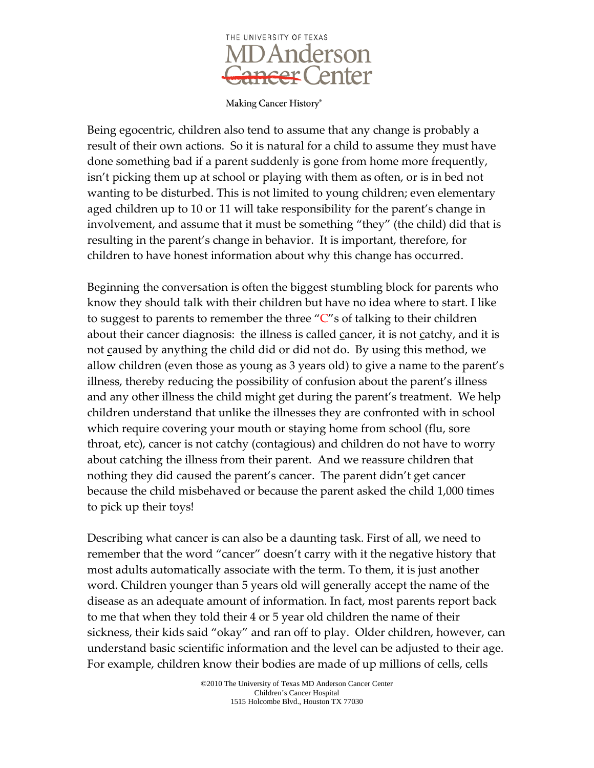

Being egocentric, children also tend to assume that any change is probably a result of their own actions. So it is natural for a child to assume they must have done something bad if a parent suddenly is gone from home more frequently, isn't picking them up at school or playing with them as often, or is in bed not wanting to be disturbed. This is not limited to young children; even elementary aged children up to 10 or 11 will take responsibility for the parent's change in involvement, and assume that it must be something "they" (the child) did that is resulting in the parent's change in behavior. It is important, therefore, for children to have honest information about why this change has occurred.

Beginning the conversation is often the biggest stumbling block for parents who know they should talk with their children but have no idea where to start. I like to suggest to parents to remember the three "C"s of talking to their children about their cancer diagnosis: the illness is called cancer, it is not catchy, and it is not caused by anything the child did or did not do. By using this method, we allow children (even those as young as 3 years old) to give a name to the parent's illness, thereby reducing the possibility of confusion about the parent's illness and any other illness the child might get during the parent's treatment. We help children understand that unlike the illnesses they are confronted with in school which require covering your mouth or staying home from school (flu, sore throat, etc), cancer is not catchy (contagious) and children do not have to worry about catching the illness from their parent. And we reassure children that nothing they did caused the parent's cancer. The parent didn't get cancer because the child misbehaved or because the parent asked the child 1,000 times to pick up their toys!

Describing what cancer is can also be a daunting task. First of all, we need to remember that the word "cancer" doesn't carry with it the negative history that most adults automatically associate with the term. To them, it is just another word. Children younger than 5 years old will generally accept the name of the disease as an adequate amount of information. In fact, most parents report back to me that when they told their 4 or 5 year old children the name of their sickness, their kids said "okay" and ran off to play. Older children, however, can understand basic scientific information and the level can be adjusted to their age. For example, children know their bodies are made of up millions of cells, cells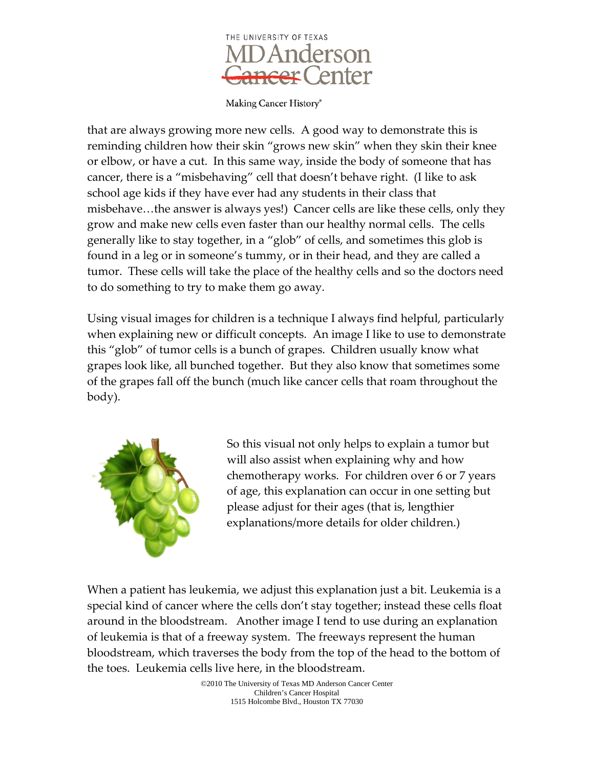

that are always growing more new cells. A good way to demonstrate this is reminding children how their skin "grows new skin" when they skin their knee or elbow, or have a cut. In this same way, inside the body of someone that has cancer, there is a "misbehaving" cell that doesn't behave right. (I like to ask school age kids if they have ever had any students in their class that misbehave…the answer is always yes!) Cancer cells are like these cells, only they grow and make new cells even faster than our healthy normal cells. The cells generally like to stay together, in a "glob" of cells, and sometimes this glob is found in a leg or in someone's tummy, or in their head, and they are called a tumor. These cells will take the place of the healthy cells and so the doctors need to do something to try to make them go away.

Using visual images for children is a technique I always find helpful, particularly when explaining new or difficult concepts. An image I like to use to demonstrate this "glob" of tumor cells is a bunch of grapes. Children usually know what grapes look like, all bunched together. But they also know that sometimes some of the grapes fall off the bunch (much like cancer cells that roam throughout the body).



So this visual not only helps to explain a tumor but will also assist when explaining why and how chemotherapy works. For children over 6 or 7 years of age, this explanation can occur in one setting but please adjust for their ages (that is, lengthier explanations/more details for older children.)

When a patient has leukemia, we adjust this explanation just a bit. Leukemia is a special kind of cancer where the cells don't stay together; instead these cells float around in the bloodstream. Another image I tend to use during an explanation of leukemia is that of a freeway system. The freeways represent the human bloodstream, which traverses the body from the top of the head to the bottom of the toes. Leukemia cells live here, in the bloodstream.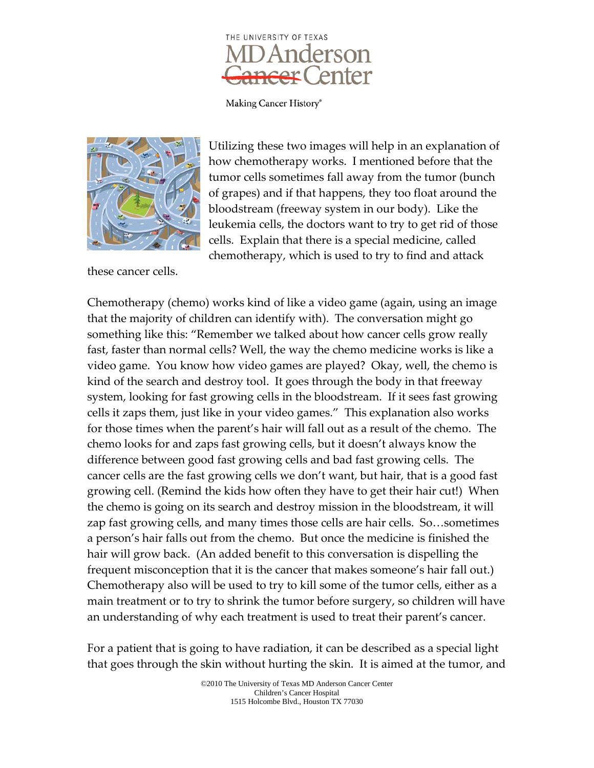



these cancer cells.

Utilizing these two images will help in an explanation of how chemotherapy works. I mentioned before that the tumor cells sometimes fall away from the tumor (bunch of grapes) and if that happens, they too float around the bloodstream (freeway system in our body). Like the leukemia cells, the doctors want to try to get rid of those cells. Explain that there is a special medicine, called chemotherapy, which is used to try to find and attack

Chemotherapy (chemo) works kind of like a video game (again, using an image that the majority of children can identify with). The conversation might go something like this: "Remember we talked about how cancer cells grow really fast, faster than normal cells? Well, the way the chemo medicine works is like a video game. You know how video games are played? Okay, well, the chemo is kind of the search and destroy tool. It goes through the body in that freeway system, looking for fast growing cells in the bloodstream. If it sees fast growing cells it zaps them, just like in your video games." This explanation also works for those times when the parent's hair will fall out as a result of the chemo. The chemo looks for and zaps fast growing cells, but it doesn't always know the difference between good fast growing cells and bad fast growing cells. The cancer cells are the fast growing cells we don't want, but hair, that is a good fast growing cell. (Remind the kids how often they have to get their hair cut!) When the chemo is going on its search and destroy mission in the bloodstream, it will zap fast growing cells, and many times those cells are hair cells. So…sometimes a person's hair falls out from the chemo. But once the medicine is finished the hair will grow back. (An added benefit to this conversation is dispelling the frequent misconception that it is the cancer that makes someone's hair fall out.) Chemotherapy also will be used to try to kill some of the tumor cells, either as a main treatment or to try to shrink the tumor before surgery, so children will have an understanding of why each treatment is used to treat their parent's cancer.

For a patient that is going to have radiation, it can be described as a special light that goes through the skin without hurting the skin. It is aimed at the tumor, and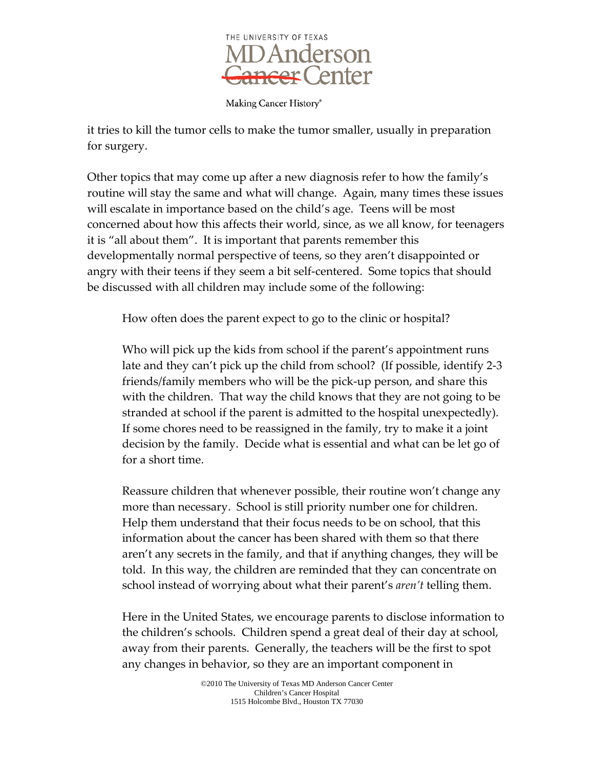

Making Cancer History®

it tries to kill the tumor cells to make the tumor smaller, usually in preparation for surgery.

Other topics that may come up after a new diagnosis refer to how the family's routine will stay the same and what will change. Again, many times these issues will escalate in importance based on the child's age. Teens will be most concerned about how this affects their world, since, as we all know, for teenagers it is "all about them". It is important that parents remember this developmentally normal perspective of teens, so they aren't disappointed or angry with their teens if they seem a bit self-centered. Some topics that should be discussed with all children may include some of the following:

How often does the parent expect to go to the clinic or hospital?

Who will pick up the kids from school if the parent's appointment runs late and they can't pick up the child from school? (If possible, identify 2-3 friends/family members who will be the pick-up person, and share this with the children. That way the child knows that they are not going to be stranded at school if the parent is admitted to the hospital unexpectedly). If some chores need to be reassigned in the family, try to make it a joint decision by the family. Decide what is essential and what can be let go of for a short time.

Reassure children that whenever possible, their routine won't change any more than necessary. School is still priority number one for children. Help them understand that their focus needs to be on school, that this information about the cancer has been shared with them so that there aren't any secrets in the family, and that if anything changes, they will be told. In this way, the children are reminded that they can concentrate on school instead of worrying about what their parent's *aren't* telling them.

Here in the United States, we encourage parents to disclose information to the children's schools. Children spend a great deal of their day at school, away from their parents. Generally, the teachers will be the first to spot any changes in behavior, so they are an important component in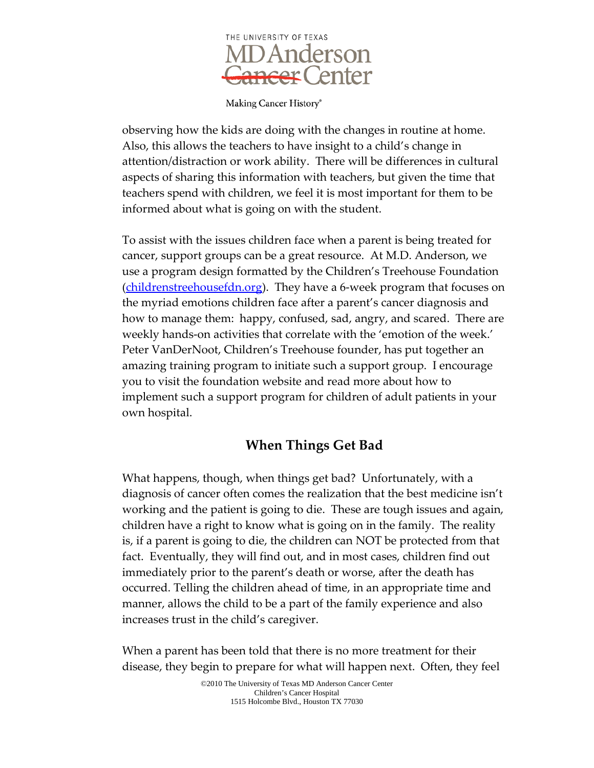

Making Cancer History®

observing how the kids are doing with the changes in routine at home. Also, this allows the teachers to have insight to a child's change in attention/distraction or work ability. There will be differences in cultural aspects of sharing this information with teachers, but given the time that teachers spend with children, we feel it is most important for them to be informed about what is going on with the student.

To assist with the issues children face when a parent is being treated for cancer, support groups can be a great resource. At M.D. Anderson, we use a program design formatted by the Children's Treehouse Foundation [\(childrenstreehousefdn.org\)](http://www.childrenstreehousefdn.org/). They have a 6-week program that focuses on the myriad emotions children face after a parent's cancer diagnosis and how to manage them: happy, confused, sad, angry, and scared. There are weekly hands-on activities that correlate with the 'emotion of the week.' Peter VanDerNoot, Children's Treehouse founder, has put together an amazing training program to initiate such a support group. I encourage you to visit the foundation website and read more about how to implement such a support program for children of adult patients in your own hospital.

## **When Things Get Bad**

What happens, though, when things get bad? Unfortunately, with a diagnosis of cancer often comes the realization that the best medicine isn't working and the patient is going to die. These are tough issues and again, children have a right to know what is going on in the family. The reality is, if a parent is going to die, the children can NOT be protected from that fact. Eventually, they will find out, and in most cases, children find out immediately prior to the parent's death or worse, after the death has occurred. Telling the children ahead of time, in an appropriate time and manner, allows the child to be a part of the family experience and also increases trust in the child's caregiver.

When a parent has been told that there is no more treatment for their disease, they begin to prepare for what will happen next. Often, they feel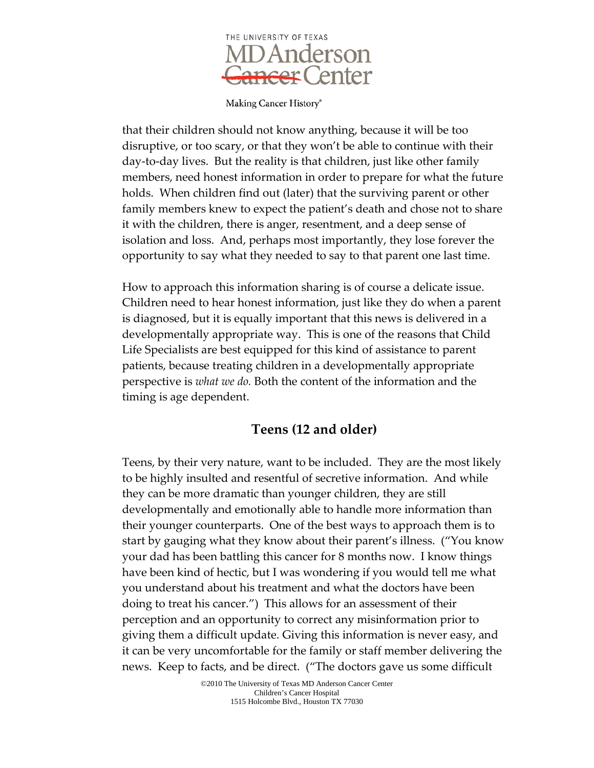

that their children should not know anything, because it will be too disruptive, or too scary, or that they won't be able to continue with their day-to-day lives. But the reality is that children, just like other family members, need honest information in order to prepare for what the future holds. When children find out (later) that the surviving parent or other family members knew to expect the patient's death and chose not to share it with the children, there is anger, resentment, and a deep sense of isolation and loss. And, perhaps most importantly, they lose forever the opportunity to say what they needed to say to that parent one last time.

How to approach this information sharing is of course a delicate issue. Children need to hear honest information, just like they do when a parent is diagnosed, but it is equally important that this news is delivered in a developmentally appropriate way. This is one of the reasons that Child Life Specialists are best equipped for this kind of assistance to parent patients, because treating children in a developmentally appropriate perspective is *what we do.* Both the content of the information and the timing is age dependent.

### **Teens (12 and older)**

Teens, by their very nature, want to be included. They are the most likely to be highly insulted and resentful of secretive information. And while they can be more dramatic than younger children, they are still developmentally and emotionally able to handle more information than their younger counterparts. One of the best ways to approach them is to start by gauging what they know about their parent's illness. ("You know your dad has been battling this cancer for 8 months now. I know things have been kind of hectic, but I was wondering if you would tell me what you understand about his treatment and what the doctors have been doing to treat his cancer.") This allows for an assessment of their perception and an opportunity to correct any misinformation prior to giving them a difficult update. Giving this information is never easy, and it can be very uncomfortable for the family or staff member delivering the news. Keep to facts, and be direct. ("The doctors gave us some difficult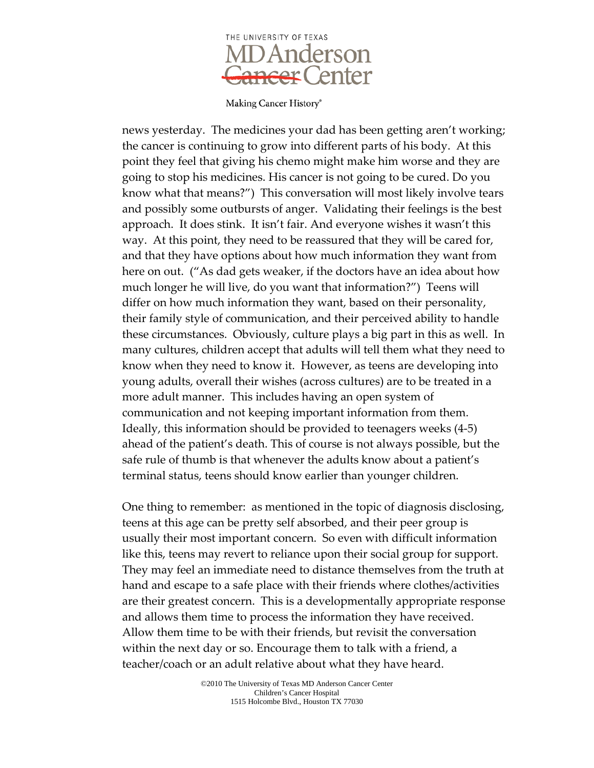

news yesterday. The medicines your dad has been getting aren't working; the cancer is continuing to grow into different parts of his body. At this point they feel that giving his chemo might make him worse and they are going to stop his medicines. His cancer is not going to be cured. Do you know what that means?") This conversation will most likely involve tears and possibly some outbursts of anger. Validating their feelings is the best approach. It does stink. It isn't fair. And everyone wishes it wasn't this way. At this point, they need to be reassured that they will be cared for, and that they have options about how much information they want from here on out. ("As dad gets weaker, if the doctors have an idea about how much longer he will live, do you want that information?") Teens will differ on how much information they want, based on their personality, their family style of communication, and their perceived ability to handle these circumstances. Obviously, culture plays a big part in this as well. In many cultures, children accept that adults will tell them what they need to know when they need to know it. However, as teens are developing into young adults, overall their wishes (across cultures) are to be treated in a more adult manner. This includes having an open system of communication and not keeping important information from them. Ideally, this information should be provided to teenagers weeks (4-5) ahead of the patient's death. This of course is not always possible, but the safe rule of thumb is that whenever the adults know about a patient's terminal status, teens should know earlier than younger children.

One thing to remember: as mentioned in the topic of diagnosis disclosing, teens at this age can be pretty self absorbed, and their peer group is usually their most important concern. So even with difficult information like this, teens may revert to reliance upon their social group for support. They may feel an immediate need to distance themselves from the truth at hand and escape to a safe place with their friends where clothes/activities are their greatest concern. This is a developmentally appropriate response and allows them time to process the information they have received. Allow them time to be with their friends, but revisit the conversation within the next day or so. Encourage them to talk with a friend, a teacher/coach or an adult relative about what they have heard.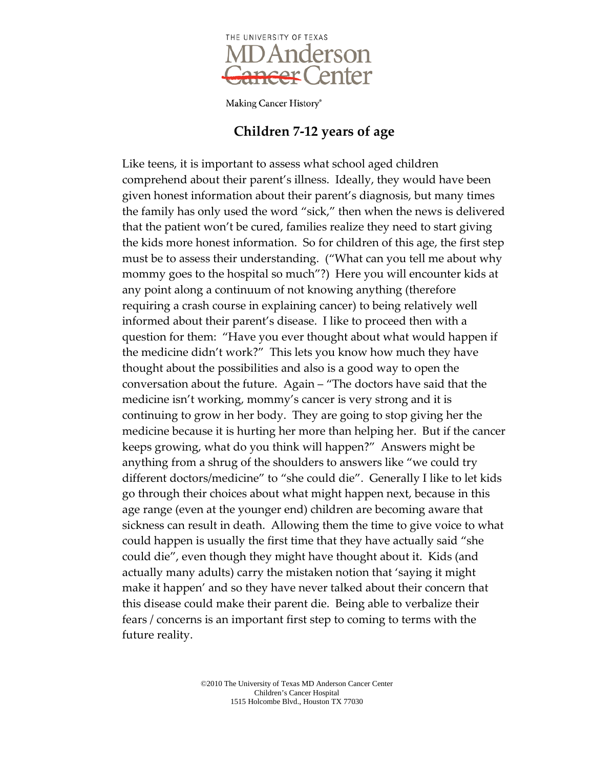

#### **Children 7-12 years of age**

Like teens, it is important to assess what school aged children comprehend about their parent's illness. Ideally, they would have been given honest information about their parent's diagnosis, but many times the family has only used the word "sick," then when the news is delivered that the patient won't be cured, families realize they need to start giving the kids more honest information. So for children of this age, the first step must be to assess their understanding. ("What can you tell me about why mommy goes to the hospital so much"?) Here you will encounter kids at any point along a continuum of not knowing anything (therefore requiring a crash course in explaining cancer) to being relatively well informed about their parent's disease. I like to proceed then with a question for them: "Have you ever thought about what would happen if the medicine didn't work?" This lets you know how much they have thought about the possibilities and also is a good way to open the conversation about the future. Again – "The doctors have said that the medicine isn't working, mommy's cancer is very strong and it is continuing to grow in her body. They are going to stop giving her the medicine because it is hurting her more than helping her. But if the cancer keeps growing, what do you think will happen?" Answers might be anything from a shrug of the shoulders to answers like "we could try different doctors/medicine" to "she could die". Generally I like to let kids go through their choices about what might happen next, because in this age range (even at the younger end) children are becoming aware that sickness can result in death. Allowing them the time to give voice to what could happen is usually the first time that they have actually said "she could die", even though they might have thought about it. Kids (and actually many adults) carry the mistaken notion that 'saying it might make it happen' and so they have never talked about their concern that this disease could make their parent die. Being able to verbalize their fears / concerns is an important first step to coming to terms with the future reality.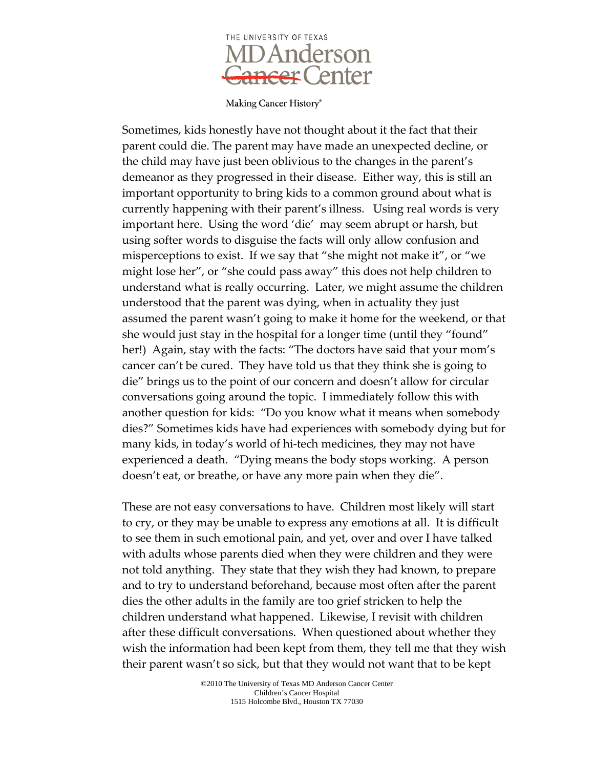

Sometimes, kids honestly have not thought about it the fact that their parent could die. The parent may have made an unexpected decline, or the child may have just been oblivious to the changes in the parent's demeanor as they progressed in their disease. Either way, this is still an important opportunity to bring kids to a common ground about what is currently happening with their parent's illness. Using real words is very important here. Using the word 'die' may seem abrupt or harsh, but using softer words to disguise the facts will only allow confusion and misperceptions to exist. If we say that "she might not make it", or "we might lose her", or "she could pass away" this does not help children to understand what is really occurring. Later, we might assume the children understood that the parent was dying, when in actuality they just assumed the parent wasn't going to make it home for the weekend, or that she would just stay in the hospital for a longer time (until they "found" her!) Again, stay with the facts: "The doctors have said that your mom's cancer can't be cured. They have told us that they think she is going to die" brings us to the point of our concern and doesn't allow for circular conversations going around the topic. I immediately follow this with another question for kids: "Do you know what it means when somebody dies?" Sometimes kids have had experiences with somebody dying but for many kids, in today's world of hi-tech medicines, they may not have experienced a death. "Dying means the body stops working. A person doesn't eat, or breathe, or have any more pain when they die".

These are not easy conversations to have. Children most likely will start to cry, or they may be unable to express any emotions at all. It is difficult to see them in such emotional pain, and yet, over and over I have talked with adults whose parents died when they were children and they were not told anything. They state that they wish they had known, to prepare and to try to understand beforehand, because most often after the parent dies the other adults in the family are too grief stricken to help the children understand what happened. Likewise, I revisit with children after these difficult conversations. When questioned about whether they wish the information had been kept from them, they tell me that they wish their parent wasn't so sick, but that they would not want that to be kept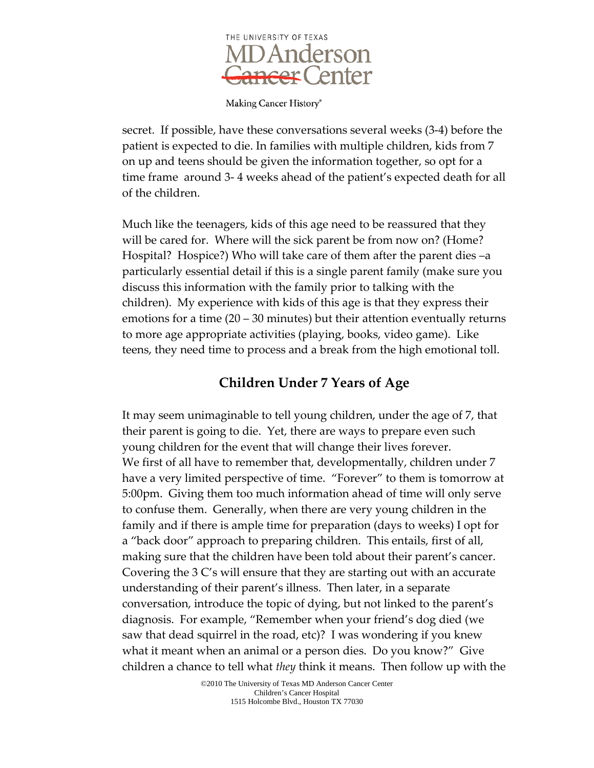

Making Cancer History®

secret. If possible, have these conversations several weeks (3-4) before the patient is expected to die. In families with multiple children, kids from 7 on up and teens should be given the information together, so opt for a time frame around 3- 4 weeks ahead of the patient's expected death for all of the children.

Much like the teenagers, kids of this age need to be reassured that they will be cared for. Where will the sick parent be from now on? (Home? Hospital? Hospice?) Who will take care of them after the parent dies –a particularly essential detail if this is a single parent family (make sure you discuss this information with the family prior to talking with the children). My experience with kids of this age is that they express their emotions for a time (20 – 30 minutes) but their attention eventually returns to more age appropriate activities (playing, books, video game). Like teens, they need time to process and a break from the high emotional toll.

## **Children Under 7 Years of Age**

It may seem unimaginable to tell young children, under the age of 7, that their parent is going to die. Yet, there are ways to prepare even such young children for the event that will change their lives forever. We first of all have to remember that, developmentally, children under 7 have a very limited perspective of time. "Forever" to them is tomorrow at 5:00pm. Giving them too much information ahead of time will only serve to confuse them. Generally, when there are very young children in the family and if there is ample time for preparation (days to weeks) I opt for a "back door" approach to preparing children. This entails, first of all, making sure that the children have been told about their parent's cancer. Covering the 3 C's will ensure that they are starting out with an accurate understanding of their parent's illness. Then later, in a separate conversation, introduce the topic of dying, but not linked to the parent's diagnosis. For example, "Remember when your friend's dog died (we saw that dead squirrel in the road, etc)? I was wondering if you knew what it meant when an animal or a person dies. Do you know?" Give children a chance to tell what *they* think it means. Then follow up with the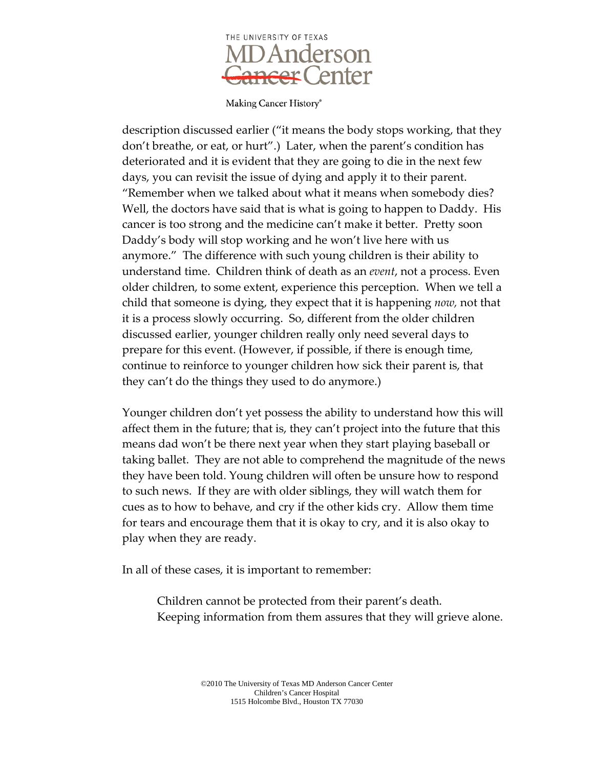

description discussed earlier ("it means the body stops working, that they don't breathe, or eat, or hurt".) Later, when the parent's condition has deteriorated and it is evident that they are going to die in the next few days, you can revisit the issue of dying and apply it to their parent. "Remember when we talked about what it means when somebody dies? Well, the doctors have said that is what is going to happen to Daddy. His cancer is too strong and the medicine can't make it better. Pretty soon Daddy's body will stop working and he won't live here with us anymore." The difference with such young children is their ability to understand time. Children think of death as an *event*, not a process. Even older children, to some extent, experience this perception. When we tell a child that someone is dying, they expect that it is happening *now,* not that it is a process slowly occurring. So, different from the older children discussed earlier, younger children really only need several days to prepare for this event. (However, if possible, if there is enough time, continue to reinforce to younger children how sick their parent is, that they can't do the things they used to do anymore.)

Younger children don't yet possess the ability to understand how this will affect them in the future; that is, they can't project into the future that this means dad won't be there next year when they start playing baseball or taking ballet. They are not able to comprehend the magnitude of the news they have been told. Young children will often be unsure how to respond to such news. If they are with older siblings, they will watch them for cues as to how to behave, and cry if the other kids cry. Allow them time for tears and encourage them that it is okay to cry, and it is also okay to play when they are ready.

In all of these cases, it is important to remember:

Children cannot be protected from their parent's death. Keeping information from them assures that they will grieve alone.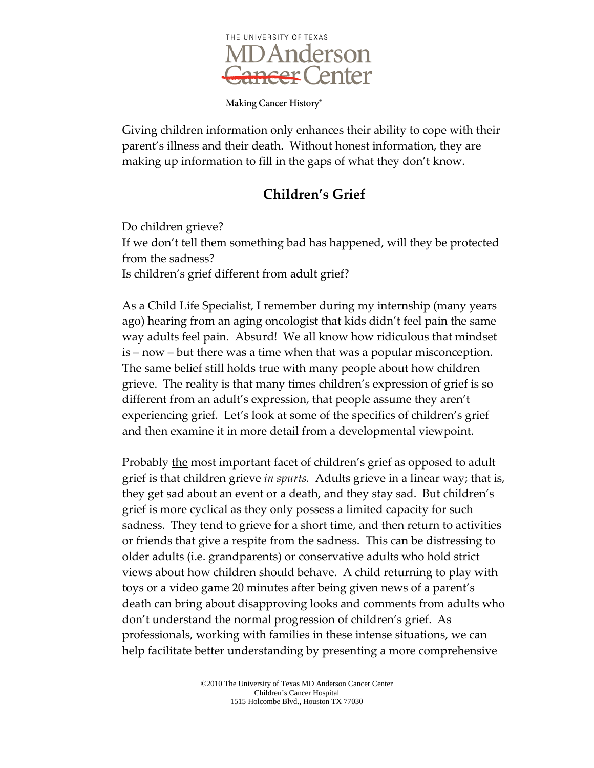

Giving children information only enhances their ability to cope with their parent's illness and their death. Without honest information, they are making up information to fill in the gaps of what they don't know.

# **Children's Grief**

Do children grieve? If we don't tell them something bad has happened, will they be protected from the sadness? Is children's grief different from adult grief?

As a Child Life Specialist, I remember during my internship (many years ago) hearing from an aging oncologist that kids didn't feel pain the same way adults feel pain. Absurd! We all know how ridiculous that mindset is – now – but there was a time when that was a popular misconception. The same belief still holds true with many people about how children grieve. The reality is that many times children's expression of grief is so different from an adult's expression, that people assume they aren't experiencing grief. Let's look at some of the specifics of children's grief and then examine it in more detail from a developmental viewpoint.

Probably the most important facet of children's grief as opposed to adult grief is that children grieve *in spurts.* Adults grieve in a linear way; that is, they get sad about an event or a death, and they stay sad. But children's grief is more cyclical as they only possess a limited capacity for such sadness. They tend to grieve for a short time, and then return to activities or friends that give a respite from the sadness. This can be distressing to older adults (i.e. grandparents) or conservative adults who hold strict views about how children should behave. A child returning to play with toys or a video game 20 minutes after being given news of a parent's death can bring about disapproving looks and comments from adults who don't understand the normal progression of children's grief. As professionals, working with families in these intense situations, we can help facilitate better understanding by presenting a more comprehensive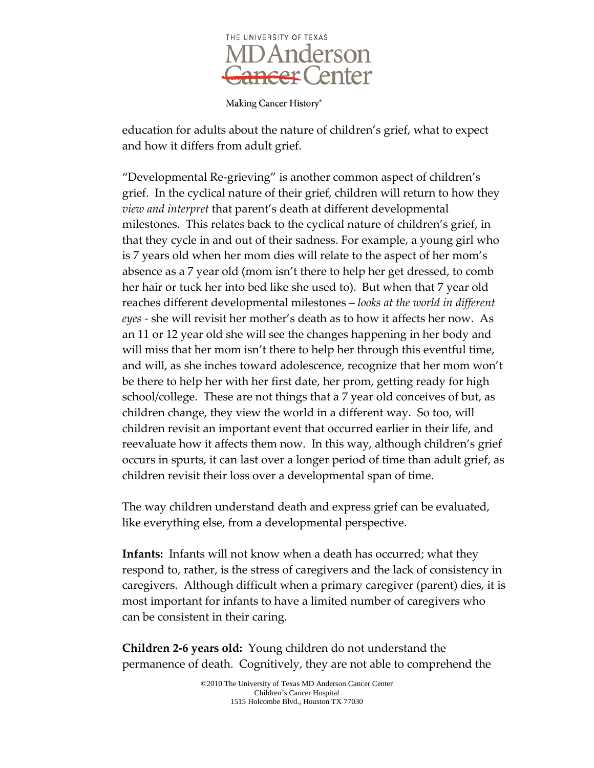

Making Cancer History®

education for adults about the nature of children's grief, what to expect and how it differs from adult grief.

"Developmental Re-grieving" is another common aspect of children's grief. In the cyclical nature of their grief, children will return to how they *view and interpret* that parent's death at different developmental milestones. This relates back to the cyclical nature of children's grief, in that they cycle in and out of their sadness. For example, a young girl who is 7 years old when her mom dies will relate to the aspect of her mom's absence as a 7 year old (mom isn't there to help her get dressed, to comb her hair or tuck her into bed like she used to). But when that 7 year old reaches different developmental milestones – *looks at the world in different eyes -* she will revisit her mother's death as to how it affects her now. As an 11 or 12 year old she will see the changes happening in her body and will miss that her mom isn't there to help her through this eventful time, and will, as she inches toward adolescence, recognize that her mom won't be there to help her with her first date, her prom, getting ready for high school/college. These are not things that a 7 year old conceives of but, as children change, they view the world in a different way. So too, will children revisit an important event that occurred earlier in their life, and reevaluate how it affects them now. In this way, although children's grief occurs in spurts, it can last over a longer period of time than adult grief, as children revisit their loss over a developmental span of time.

The way children understand death and express grief can be evaluated, like everything else, from a developmental perspective.

**Infants:** Infants will not know when a death has occurred; what they respond to, rather, is the stress of caregivers and the lack of consistency in caregivers. Although difficult when a primary caregiver (parent) dies, it is most important for infants to have a limited number of caregivers who can be consistent in their caring.

**Children 2-6 years old:** Young children do not understand the permanence of death. Cognitively, they are not able to comprehend the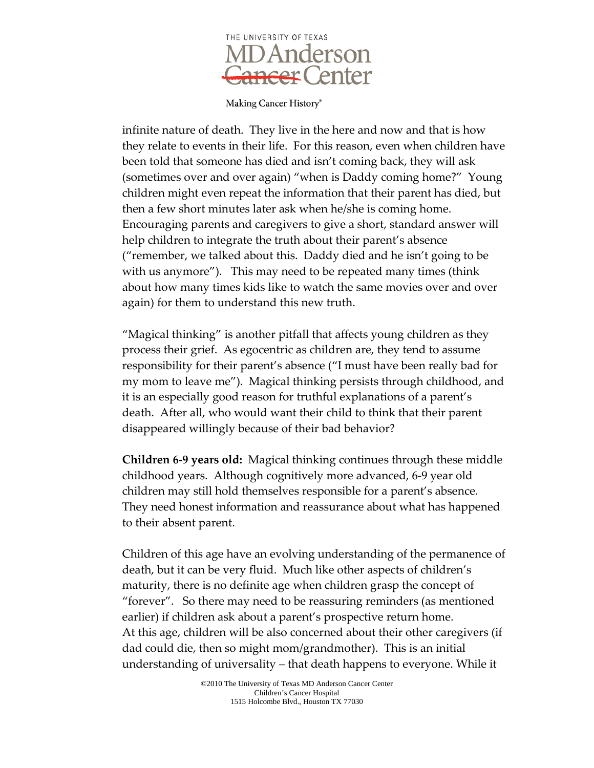

infinite nature of death. They live in the here and now and that is how they relate to events in their life. For this reason, even when children have been told that someone has died and isn't coming back, they will ask (sometimes over and over again) "when is Daddy coming home?" Young children might even repeat the information that their parent has died, but then a few short minutes later ask when he/she is coming home. Encouraging parents and caregivers to give a short, standard answer will help children to integrate the truth about their parent's absence ("remember, we talked about this. Daddy died and he isn't going to be with us anymore"). This may need to be repeated many times (think about how many times kids like to watch the same movies over and over again) for them to understand this new truth.

"Magical thinking" is another pitfall that affects young children as they process their grief. As egocentric as children are, they tend to assume responsibility for their parent's absence ("I must have been really bad for my mom to leave me"). Magical thinking persists through childhood, and it is an especially good reason for truthful explanations of a parent's death. After all, who would want their child to think that their parent disappeared willingly because of their bad behavior?

**Children 6-9 years old:** Magical thinking continues through these middle childhood years. Although cognitively more advanced, 6-9 year old children may still hold themselves responsible for a parent's absence. They need honest information and reassurance about what has happened to their absent parent.

Children of this age have an evolving understanding of the permanence of death, but it can be very fluid. Much like other aspects of children's maturity, there is no definite age when children grasp the concept of "forever". So there may need to be reassuring reminders (as mentioned earlier) if children ask about a parent's prospective return home. At this age, children will be also concerned about their other caregivers (if dad could die, then so might mom/grandmother). This is an initial understanding of universality – that death happens to everyone. While it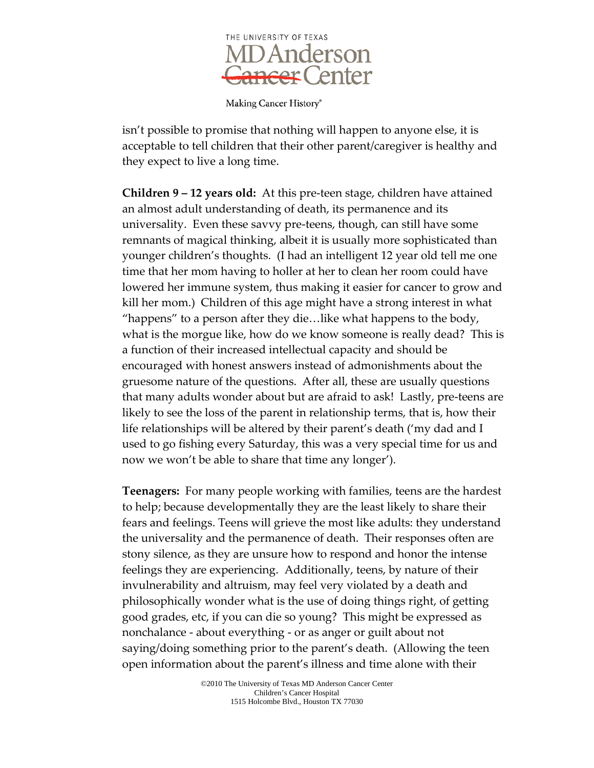

Making Cancer History®

isn't possible to promise that nothing will happen to anyone else, it is acceptable to tell children that their other parent/caregiver is healthy and they expect to live a long time.

**Children 9 – 12 years old:** At this pre-teen stage, children have attained an almost adult understanding of death, its permanence and its universality. Even these savvy pre-teens, though, can still have some remnants of magical thinking, albeit it is usually more sophisticated than younger children's thoughts. (I had an intelligent 12 year old tell me one time that her mom having to holler at her to clean her room could have lowered her immune system, thus making it easier for cancer to grow and kill her mom.) Children of this age might have a strong interest in what "happens" to a person after they die…like what happens to the body, what is the morgue like, how do we know someone is really dead? This is a function of their increased intellectual capacity and should be encouraged with honest answers instead of admonishments about the gruesome nature of the questions. After all, these are usually questions that many adults wonder about but are afraid to ask! Lastly, pre-teens are likely to see the loss of the parent in relationship terms, that is, how their life relationships will be altered by their parent's death ('my dad and I used to go fishing every Saturday, this was a very special time for us and now we won't be able to share that time any longer').

**Teenagers:** For many people working with families, teens are the hardest to help; because developmentally they are the least likely to share their fears and feelings. Teens will grieve the most like adults: they understand the universality and the permanence of death. Their responses often are stony silence, as they are unsure how to respond and honor the intense feelings they are experiencing. Additionally, teens, by nature of their invulnerability and altruism, may feel very violated by a death and philosophically wonder what is the use of doing things right, of getting good grades, etc, if you can die so young? This might be expressed as nonchalance - about everything - or as anger or guilt about not saying/doing something prior to the parent's death. (Allowing the teen open information about the parent's illness and time alone with their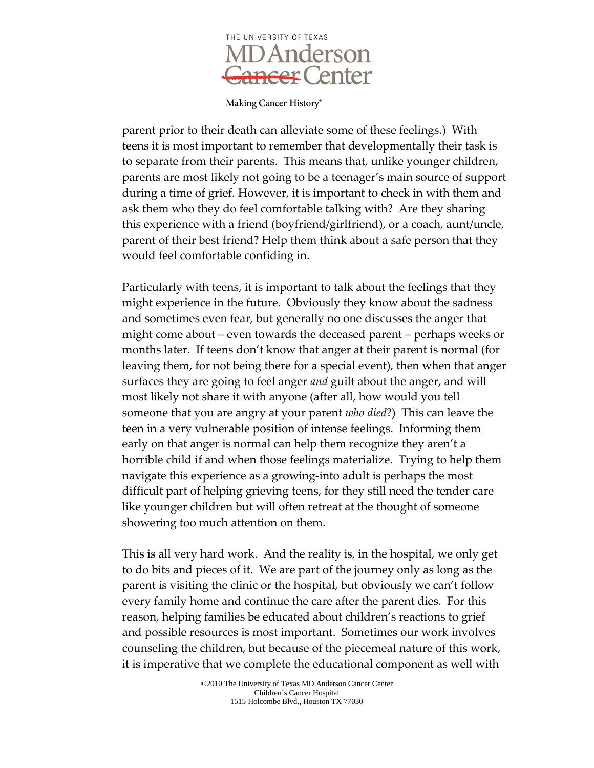

parent prior to their death can alleviate some of these feelings.) With teens it is most important to remember that developmentally their task is to separate from their parents. This means that, unlike younger children, parents are most likely not going to be a teenager's main source of support during a time of grief. However, it is important to check in with them and ask them who they do feel comfortable talking with? Are they sharing this experience with a friend (boyfriend/girlfriend), or a coach, aunt/uncle, parent of their best friend? Help them think about a safe person that they would feel comfortable confiding in.

Particularly with teens, it is important to talk about the feelings that they might experience in the future. Obviously they know about the sadness and sometimes even fear, but generally no one discusses the anger that might come about – even towards the deceased parent – perhaps weeks or months later. If teens don't know that anger at their parent is normal (for leaving them, for not being there for a special event), then when that anger surfaces they are going to feel anger *and* guilt about the anger, and will most likely not share it with anyone (after all, how would you tell someone that you are angry at your parent *who died*?) This can leave the teen in a very vulnerable position of intense feelings. Informing them early on that anger is normal can help them recognize they aren't a horrible child if and when those feelings materialize. Trying to help them navigate this experience as a growing-into adult is perhaps the most difficult part of helping grieving teens, for they still need the tender care like younger children but will often retreat at the thought of someone showering too much attention on them.

This is all very hard work. And the reality is, in the hospital, we only get to do bits and pieces of it. We are part of the journey only as long as the parent is visiting the clinic or the hospital, but obviously we can't follow every family home and continue the care after the parent dies. For this reason, helping families be educated about children's reactions to grief and possible resources is most important. Sometimes our work involves counseling the children, but because of the piecemeal nature of this work, it is imperative that we complete the educational component as well with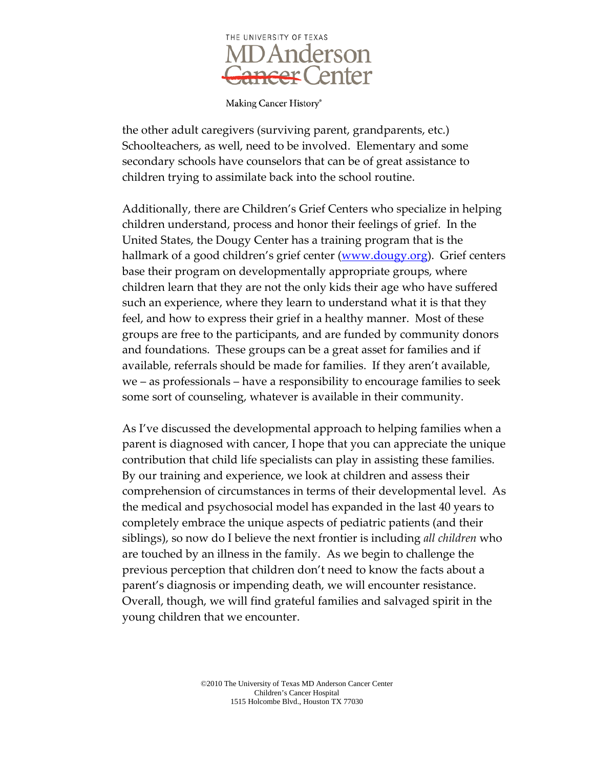

the other adult caregivers (surviving parent, grandparents, etc.) Schoolteachers, as well, need to be involved. Elementary and some secondary schools have counselors that can be of great assistance to children trying to assimilate back into the school routine.

Additionally, there are Children's Grief Centers who specialize in helping children understand, process and honor their feelings of grief. In the United States, the Dougy Center has a training program that is the hallmark of a good children's grief center [\(www.dougy.org\)](http://www.dougy.org/). Grief centers base their program on developmentally appropriate groups, where children learn that they are not the only kids their age who have suffered such an experience, where they learn to understand what it is that they feel, and how to express their grief in a healthy manner. Most of these groups are free to the participants, and are funded by community donors and foundations. These groups can be a great asset for families and if available, referrals should be made for families. If they aren't available, we – as professionals – have a responsibility to encourage families to seek some sort of counseling, whatever is available in their community.

As I've discussed the developmental approach to helping families when a parent is diagnosed with cancer, I hope that you can appreciate the unique contribution that child life specialists can play in assisting these families. By our training and experience, we look at children and assess their comprehension of circumstances in terms of their developmental level. As the medical and psychosocial model has expanded in the last 40 years to completely embrace the unique aspects of pediatric patients (and their siblings), so now do I believe the next frontier is including *all children* who are touched by an illness in the family. As we begin to challenge the previous perception that children don't need to know the facts about a parent's diagnosis or impending death, we will encounter resistance. Overall, though, we will find grateful families and salvaged spirit in the young children that we encounter.